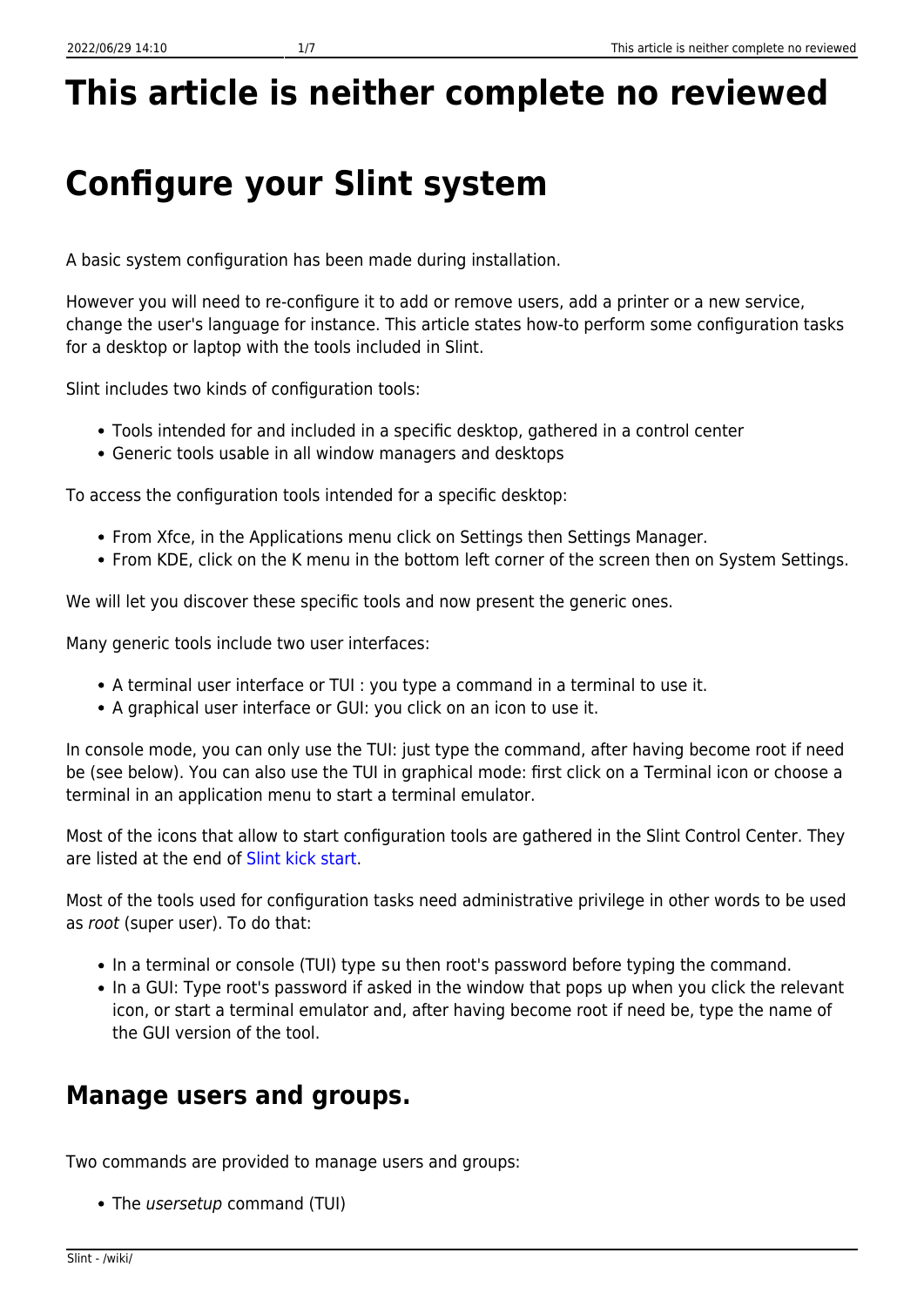# **This article is neither complete no reviewed**

## **Configure your Slint system**

A basic system configuration has been made during installation.

However you will need to re-configure it to add or remove users, add a printer or a new service, change the user's language for instance. This article states how-to perform some configuration tasks for a desktop or laptop with the tools included in Slint.

Slint includes two kinds of configuration tools:

- Tools intended for and included in a specific desktop, gathered in a control center
- Generic tools usable in all window managers and desktops

To access the configuration tools intended for a specific desktop:

- From Xfce, in the Applications menu click on Settings then Settings Manager.
- From KDE, click on the K menu in the bottom left corner of the screen then on System Settings.

We will let you discover these specific tools and now present the generic ones.

Many generic tools include two user interfaces:

- A terminal user interface or TUI : you type a command in a terminal to use it.
- A graphical user interface or GUI: you click on an icon to use it.

In console mode, you can only use the TUI: just type the command, after having become root if need be (see below). You can also use the TUI in graphical mode: first click on a Terminal icon or choose a terminal in an application menu to start a terminal emulator.

Most of the icons that allow to start configuration tools are gathered in the Slint Control Center. They are listed at the end of [Slint kick start.](/wiki/doku.php?id=en:getting_started)

Most of the tools used for configuration tasks need administrative privilege in other words to be used as root (super user). To do that:

- In a terminal or console (TUI) type su then root's password before typing the command.
- In a GUI: Type root's password if asked in the window that pops up when you click the relevant icon, or start a terminal emulator and, after having become root if need be, type the name of the GUI version of the tool.

#### **Manage users and groups.**

Two commands are provided to manage users and groups:

• The *usersetup* command (TUI)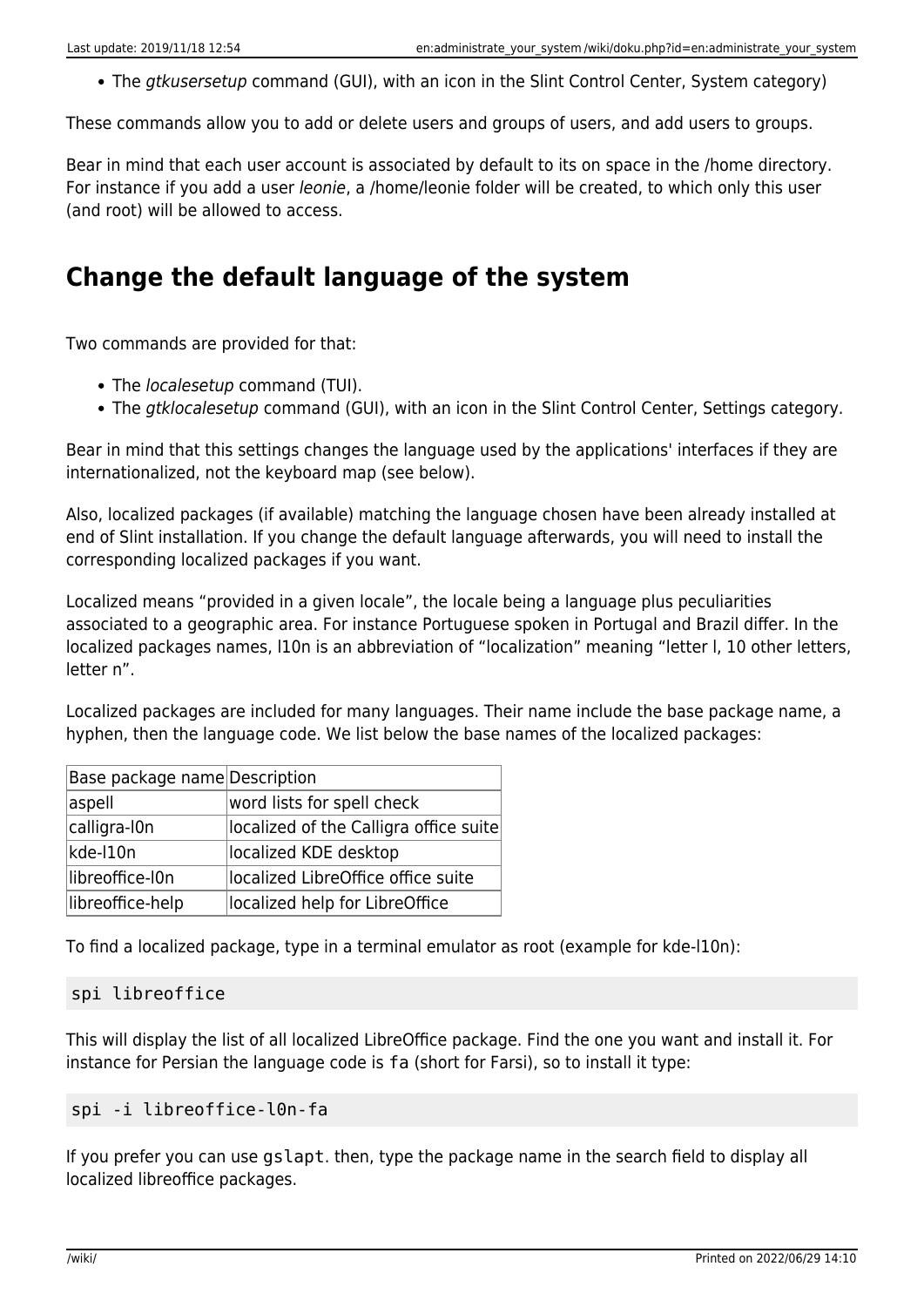• The *gtkusersetup* command (GUI), with an icon in the Slint Control Center, System category)

These commands allow you to add or delete users and groups of users, and add users to groups.

Bear in mind that each user account is associated by default to its on space in the /home directory. For instance if you add a user *leonie*, a /home/leonie folder will be created, to which only this user (and root) will be allowed to access.

#### **Change the default language of the system**

Two commands are provided for that:

- The *localesetup* command (TUI).
- The *atklocalesetup* command (GUI), with an icon in the Slint Control Center, Settings category.

Bear in mind that this settings changes the language used by the applications' interfaces if they are internationalized, not the keyboard map (see below).

Also, localized packages (if available) matching the language chosen have been already installed at end of Slint installation. If you change the default language afterwards, you will need to install the corresponding localized packages if you want.

Localized means "provided in a given locale", the locale being a language plus peculiarities associated to a geographic area. For instance Portuguese spoken in Portugal and Brazil differ. In the localized packages names, l10n is an abbreviation of "localization" meaning "letter l, 10 other letters, letter n".

Localized packages are included for many languages. Their name include the base package name, a hyphen, then the language code. We list below the base names of the localized packages:

| Base package name Description |                                        |
|-------------------------------|----------------------------------------|
| aspell                        | word lists for spell check             |
| calligra-I0n                  | localized of the Calligra office suite |
| kde-I10n                      | localized KDE desktop                  |
| libreoffice-I0n               | localized LibreOffice office suite     |
| libreoffice-help              | localized help for LibreOffice         |

To find a localized package, type in a terminal emulator as root (example for kde-l10n):

#### spi libreoffice

This will display the list of all localized LibreOffice package. Find the one you want and install it. For instance for Persian the language code is fa (short for Farsi), so to install it type:

#### spi -i libreoffice-l0n-fa

If you prefer you can use gslapt. then, type the package name in the search field to display all localized libreoffice packages.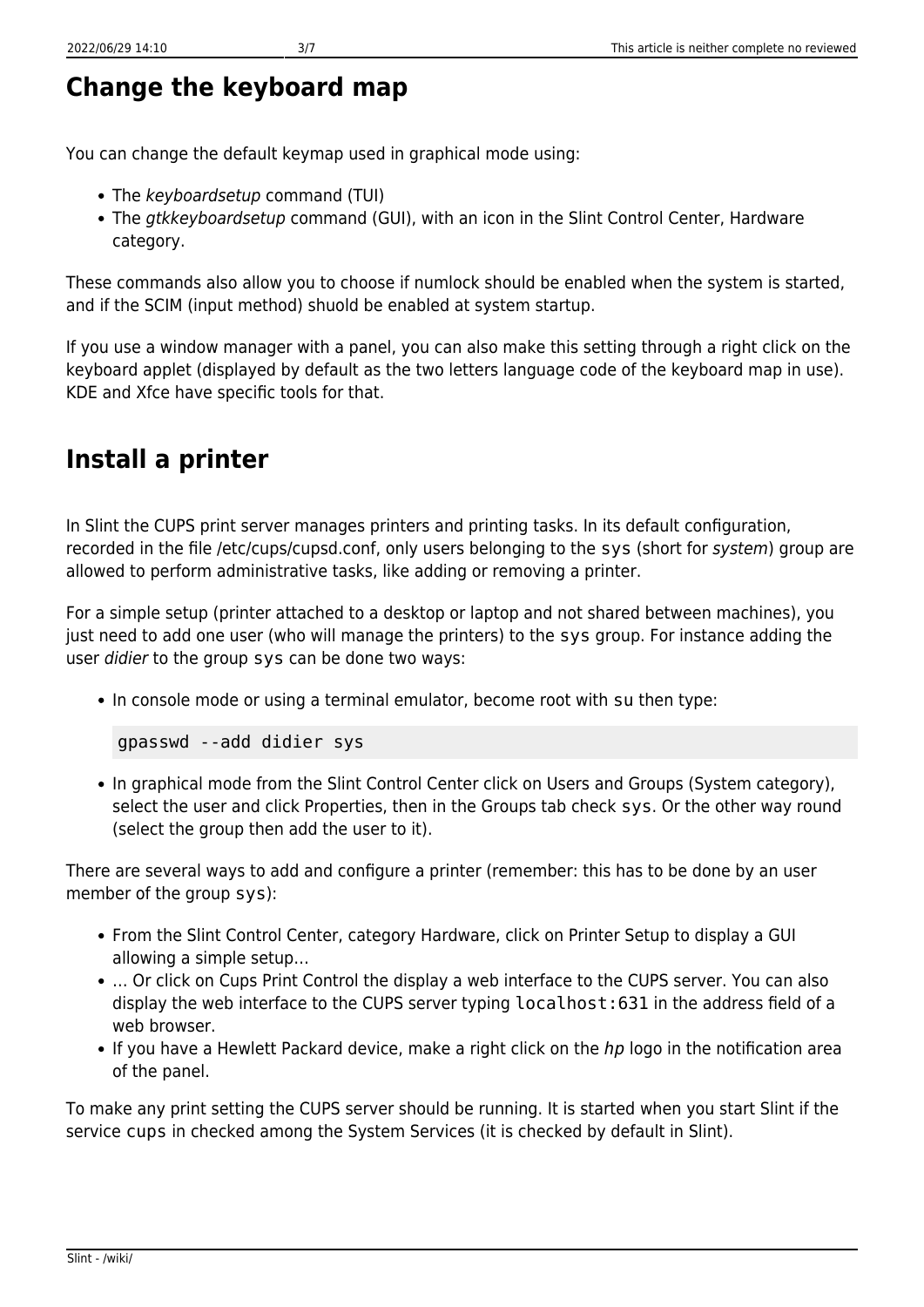#### **Change the keyboard map**

You can change the default keymap used in graphical mode using:

- The keyboardsetup command (TUI)
- The gtkkeyboardsetup command (GUI), with an icon in the Slint Control Center, Hardware category.

These commands also allow you to choose if numlock should be enabled when the system is started, and if the SCIM (input method) shuold be enabled at system startup.

If you use a window manager with a panel, you can also make this setting through a right click on the keyboard applet (displayed by default as the two letters language code of the keyboard map in use). KDE and Xfce have specific tools for that.

### **Install a printer**

In Slint the CUPS print server manages printers and printing tasks. In its default configuration, recorded in the file /etc/cups/cupsd.conf, only users belonging to the sys (short for system) group are allowed to perform administrative tasks, like adding or removing a printer.

For a simple setup (printer attached to a desktop or laptop and not shared between machines), you just need to add one user (who will manage the printers) to the sys group. For instance adding the user didier to the group sys can be done two ways:

In console mode or using a terminal emulator, become root with su then type:

```
gpasswd --add didier sys
```
• In graphical mode from the Slint Control Center click on Users and Groups (System category), select the user and click Properties, then in the Groups tab check sys. Or the other way round (select the group then add the user to it).

There are several ways to add and configure a printer (remember: this has to be done by an user member of the group sys):

- From the Slint Control Center, category Hardware, click on Printer Setup to display a GUI allowing a simple setup…
- ... Or click on Cups Print Control the display a web interface to the CUPS server. You can also display the web interface to the CUPS server typing localhost:631 in the address field of a web browser.
- If you have a Hewlett Packard device, make a right click on the *hp* logo in the notification area of the panel.

To make any print setting the CUPS server should be running. It is started when you start Slint if the service cups in checked among the System Services (it is checked by default in Slint).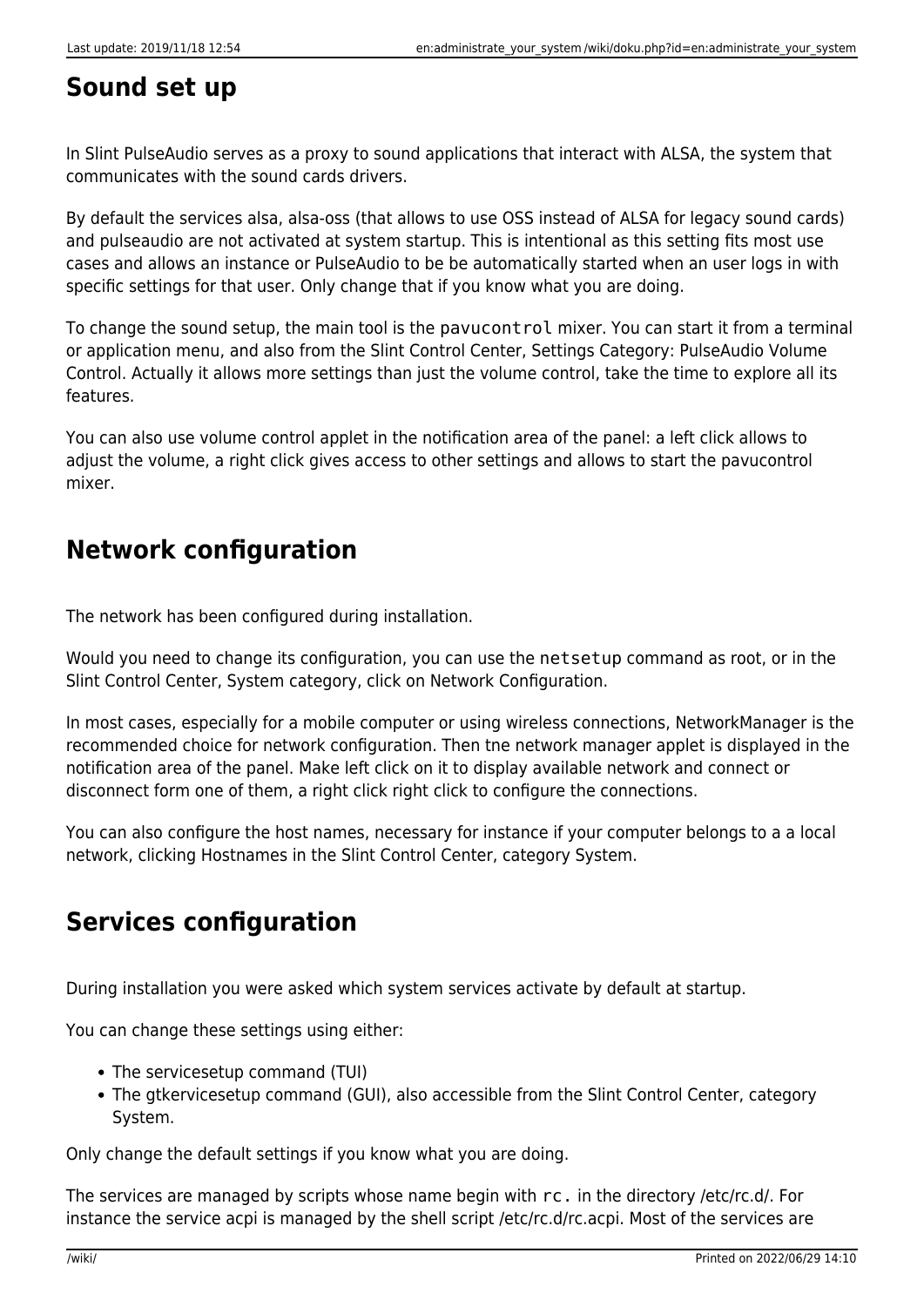#### **Sound set up**

In Slint PulseAudio serves as a proxy to sound applications that interact with ALSA, the system that communicates with the sound cards drivers.

By default the services alsa, alsa-oss (that allows to use OSS instead of ALSA for legacy sound cards) and pulseaudio are not activated at system startup. This is intentional as this setting fits most use cases and allows an instance or PulseAudio to be be automatically started when an user logs in with specific settings for that user. Only change that if you know what you are doing.

To change the sound setup, the main tool is the pavucontrol mixer. You can start it from a terminal or application menu, and also from the Slint Control Center, Settings Category: PulseAudio Volume Control. Actually it allows more settings than just the volume control, take the time to explore all its features.

You can also use volume control applet in the notification area of the panel: a left click allows to adjust the volume, a right click gives access to other settings and allows to start the pavucontrol mixer.

### **Network configuration**

The network has been configured during installation.

Would you need to change its configuration, you can use the netsetup command as root, or in the Slint Control Center, System category, click on Network Configuration.

In most cases, especially for a mobile computer or using wireless connections, NetworkManager is the recommended choice for network configuration. Then tne network manager applet is displayed in the notification area of the panel. Make left click on it to display available network and connect or disconnect form one of them, a right click right click to configure the connections.

You can also configure the host names, necessary for instance if your computer belongs to a a local network, clicking Hostnames in the Slint Control Center, category System.

## **Services configuration**

During installation you were asked which system services activate by default at startup.

You can change these settings using either:

- The servicesetup command (TUI)
- The gtkervicesetup command (GUI), also accessible from the Slint Control Center, category System.

Only change the default settings if you know what you are doing.

The services are managed by scripts whose name begin with rc. in the directory /etc/rc.d/. For instance the service acpi is managed by the shell script /etc/rc.d/rc.acpi. Most of the services are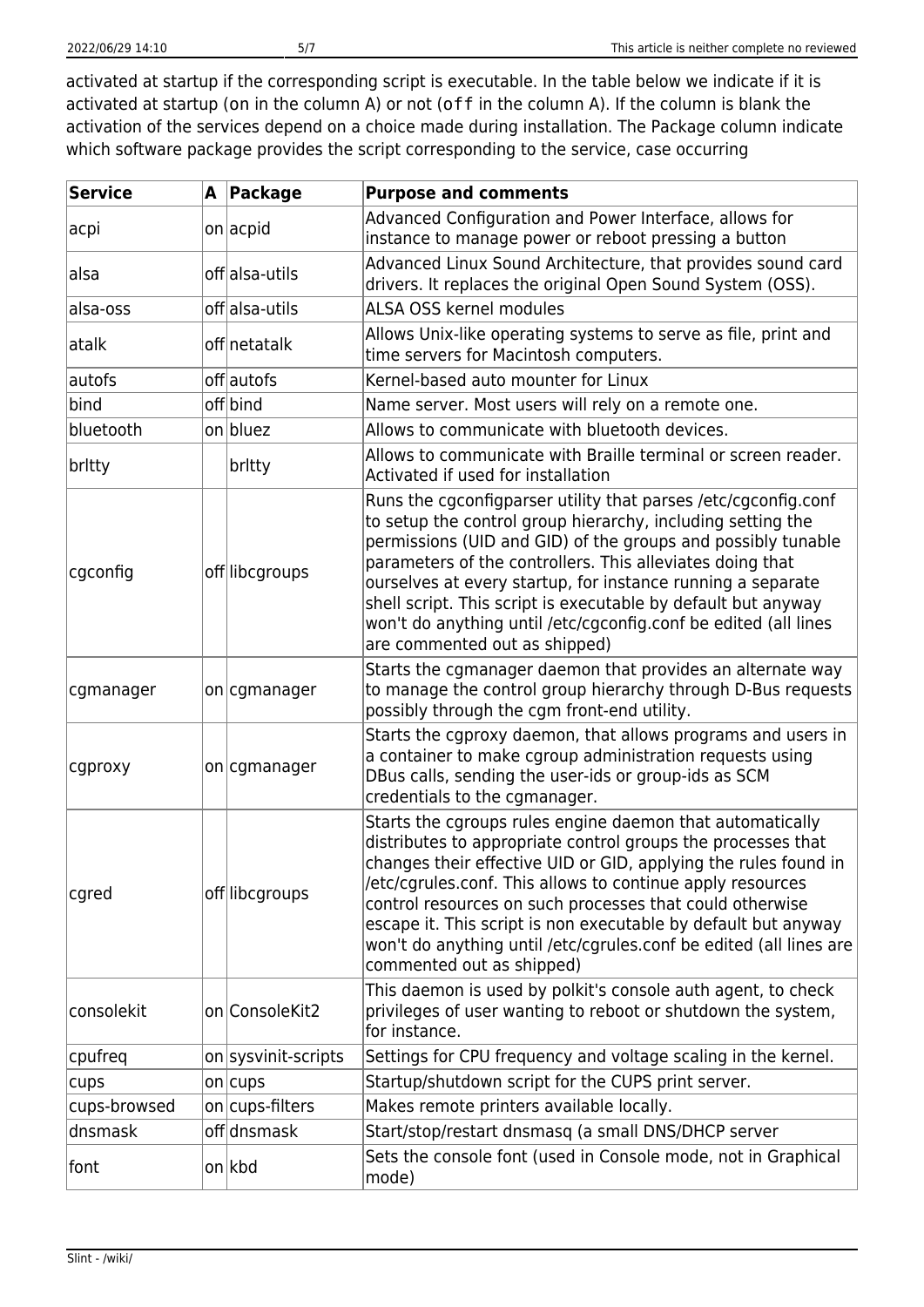activated at startup if the corresponding script is executable. In the table below we indicate if it is activated at startup (on in the column A) or not (off in the column A). If the column is blank the activation of the services depend on a choice made during installation. The Package column indicate which software package provides the script corresponding to the service, case occurring

| <b>Service</b> | A Package           | <b>Purpose and comments</b>                                                                                                                                                                                                                                                                                                                                                                                                                                                                    |
|----------------|---------------------|------------------------------------------------------------------------------------------------------------------------------------------------------------------------------------------------------------------------------------------------------------------------------------------------------------------------------------------------------------------------------------------------------------------------------------------------------------------------------------------------|
| acpi           | on acpid            | Advanced Configuration and Power Interface, allows for<br>instance to manage power or reboot pressing a button                                                                                                                                                                                                                                                                                                                                                                                 |
| alsa           | off alsa-utils      | Advanced Linux Sound Architecture, that provides sound card<br>drivers. It replaces the original Open Sound System (OSS).                                                                                                                                                                                                                                                                                                                                                                      |
| alsa-oss       | offalsa-utils       | ALSA OSS kernel modules                                                                                                                                                                                                                                                                                                                                                                                                                                                                        |
| atalk          | off netatalk        | Allows Unix-like operating systems to serve as file, print and<br>time servers for Macintosh computers.                                                                                                                                                                                                                                                                                                                                                                                        |
| autofs         | offlautofs          | Kernel-based auto mounter for Linux                                                                                                                                                                                                                                                                                                                                                                                                                                                            |
| bind           | off bind            | Name server. Most users will rely on a remote one.                                                                                                                                                                                                                                                                                                                                                                                                                                             |
| bluetooth      | on bluez            | Allows to communicate with bluetooth devices.                                                                                                                                                                                                                                                                                                                                                                                                                                                  |
| britty         | britty              | Allows to communicate with Braille terminal or screen reader.<br>Activated if used for installation                                                                                                                                                                                                                                                                                                                                                                                            |
| cgconfig       | off libcgroups      | Runs the cgconfigparser utility that parses /etc/cgconfig.conf<br>to setup the control group hierarchy, including setting the<br>permissions (UID and GID) of the groups and possibly tunable<br>parameters of the controllers. This alleviates doing that<br>ourselves at every startup, for instance running a separate<br>shell script. This script is executable by default but anyway<br>won't do anything until /etc/cgconfig.conf be edited (all lines<br>are commented out as shipped) |
| cgmanager      | on cgmanager        | Starts the cgmanager daemon that provides an alternate way<br>to manage the control group hierarchy through D-Bus requests<br>possibly through the cgm front-end utility.                                                                                                                                                                                                                                                                                                                      |
| cgproxy        | on cgmanager        | Starts the cgproxy daemon, that allows programs and users in<br>a container to make cgroup administration requests using<br>DBus calls, sending the user-ids or group-ids as SCM<br>credentials to the cgmanager.                                                                                                                                                                                                                                                                              |
| cgred          | off libcgroups      | Starts the cgroups rules engine daemon that automatically<br>distributes to appropriate control groups the processes that<br>changes their effective UID or GID, applying the rules found in<br>/etc/cgrules.conf. This allows to continue apply resources<br>control resources on such processes that could otherwise<br>escape it. This script is non executable by default but anyway<br>won't do anything until /etc/cgrules.conf be edited (all lines are<br>commented out as shipped)    |
| consolekit     | on ConsoleKit2      | This daemon is used by polkit's console auth agent, to check<br>privileges of user wanting to reboot or shutdown the system,<br>for instance.                                                                                                                                                                                                                                                                                                                                                  |
| cpufreq        | on sysvinit-scripts | Settings for CPU frequency and voltage scaling in the kernel.                                                                                                                                                                                                                                                                                                                                                                                                                                  |
| cups           | $on$ cups           | Startup/shutdown script for the CUPS print server.                                                                                                                                                                                                                                                                                                                                                                                                                                             |
| cups-browsed   | on cups-filters     | Makes remote printers available locally.                                                                                                                                                                                                                                                                                                                                                                                                                                                       |
| dnsmask        | off dnsmask         | Start/stop/restart dnsmasq (a small DNS/DHCP server                                                                                                                                                                                                                                                                                                                                                                                                                                            |
| font           | on kbd              | Sets the console font (used in Console mode, not in Graphical<br>mode)                                                                                                                                                                                                                                                                                                                                                                                                                         |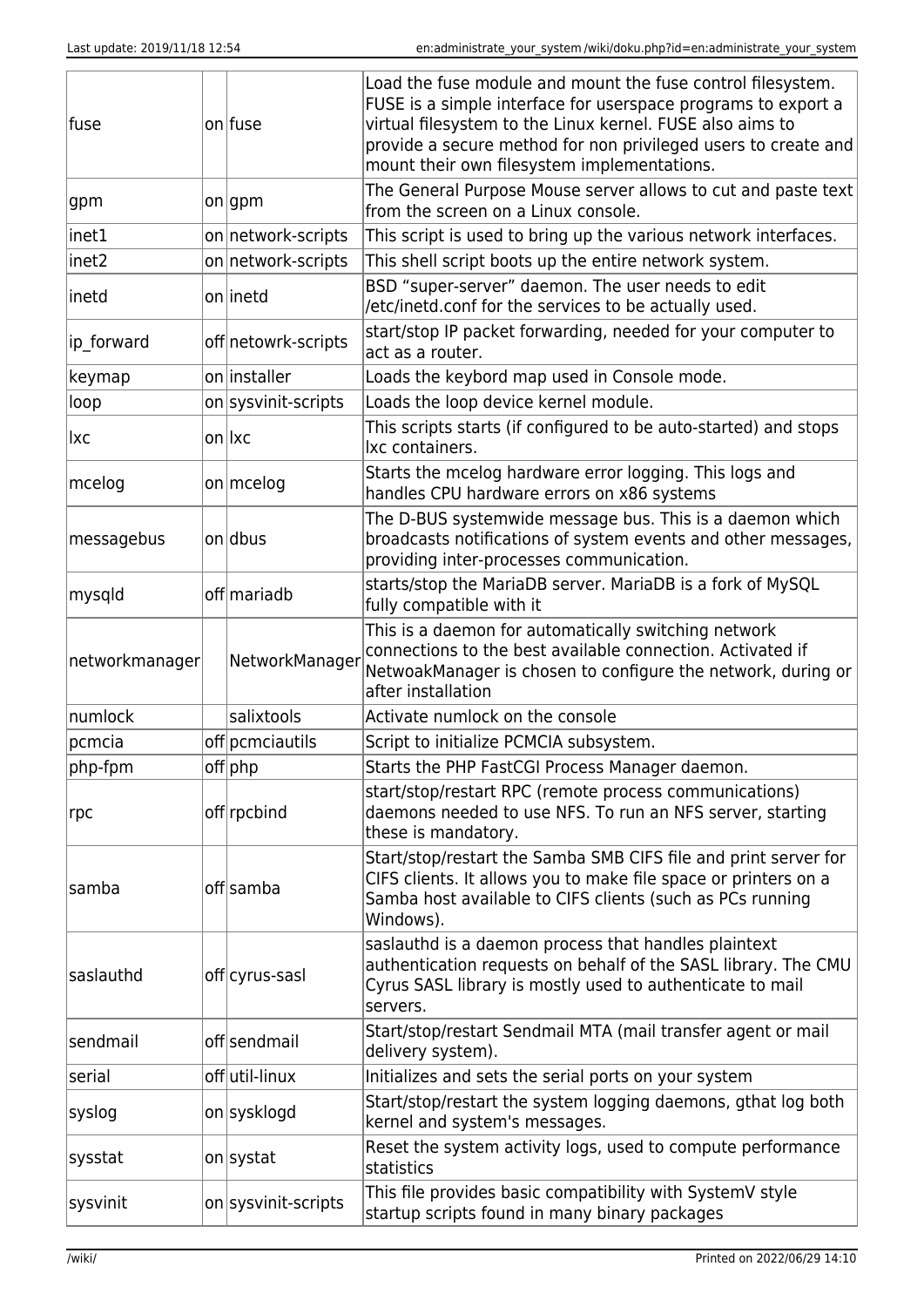| fuse           | on fuse             | Load the fuse module and mount the fuse control filesystem.<br>FUSE is a simple interface for userspace programs to export a<br>virtual filesystem to the Linux kernel. FUSE also aims to<br>provide a secure method for non privileged users to create and<br>mount their own filesystem implementations. |
|----------------|---------------------|------------------------------------------------------------------------------------------------------------------------------------------------------------------------------------------------------------------------------------------------------------------------------------------------------------|
| gpm            | on gpm              | The General Purpose Mouse server allows to cut and paste text<br>from the screen on a Linux console.                                                                                                                                                                                                       |
| inet1          | on network-scripts  | This script is used to bring up the various network interfaces.                                                                                                                                                                                                                                            |
| inet2          | on network-scripts  | This shell script boots up the entire network system.                                                                                                                                                                                                                                                      |
| inetd          | onlinetd            | BSD "super-server" daemon. The user needs to edit<br>/etc/inetd.conf for the services to be actually used.                                                                                                                                                                                                 |
| ip_forward     | off netowrk-scripts | start/stop IP packet forwarding, needed for your computer to<br>act as a router.                                                                                                                                                                                                                           |
| keymap         | on installer        | Loads the keybord map used in Console mode.                                                                                                                                                                                                                                                                |
| loop           | on sysvinit-scripts | Loads the loop device kernel module.                                                                                                                                                                                                                                                                       |
| lxc            | on lxc              | This scripts starts (if configured to be auto-started) and stops<br>Ixc containers.                                                                                                                                                                                                                        |
| mcelog         | on mcelog           | Starts the mcelog hardware error logging. This logs and<br>handles CPU hardware errors on x86 systems                                                                                                                                                                                                      |
| messagebus     | on dbus             | The D-BUS systemwide message bus. This is a daemon which<br>broadcasts notifications of system events and other messages,<br>providing inter-processes communication.                                                                                                                                      |
| mysqld         | off mariadb         | starts/stop the MariaDB server. MariaDB is a fork of MySQL<br>fully compatible with it                                                                                                                                                                                                                     |
| networkmanager | NetworkManager      | This is a daemon for automatically switching network<br>connections to the best available connection. Activated if<br>NetwoakManager is chosen to configure the network, during or<br>after installation                                                                                                   |
| numlock        | salixtools          | Activate numlock on the console                                                                                                                                                                                                                                                                            |
| pcmcia         | off pcmciautils     | Script to initialize PCMCIA subsystem.                                                                                                                                                                                                                                                                     |
| php-fpm        | off php             | Starts the PHP FastCGI Process Manager daemon.                                                                                                                                                                                                                                                             |
| rpc            | off rpcbind         | start/stop/restart RPC (remote process communications)<br>daemons needed to use NFS. To run an NFS server, starting<br>these is mandatory.                                                                                                                                                                 |
| samba          | off samba           | Start/stop/restart the Samba SMB CIFS file and print server for<br>CIFS clients. It allows you to make file space or printers on a<br>Samba host available to CIFS clients (such as PCs running<br>Windows).                                                                                               |
| saslauthd      | off cyrus-sasl      | saslauthd is a daemon process that handles plaintext<br>authentication requests on behalf of the SASL library. The CMU<br>Cyrus SASL library is mostly used to authenticate to mail<br>servers.                                                                                                            |
| sendmail       | off sendmail        | Start/stop/restart Sendmail MTA (mail transfer agent or mail<br>delivery system).                                                                                                                                                                                                                          |
| serial         | off util-linux      | Initializes and sets the serial ports on your system                                                                                                                                                                                                                                                       |
| syslog         | on sysklogd         | Start/stop/restart the system logging daemons, gthat log both<br>kernel and system's messages.                                                                                                                                                                                                             |
| sysstat        | on systat           | Reset the system activity logs, used to compute performance<br>statistics                                                                                                                                                                                                                                  |
| sysvinit       | on sysvinit-scripts | This file provides basic compatibility with SystemV style<br>startup scripts found in many binary packages                                                                                                                                                                                                 |